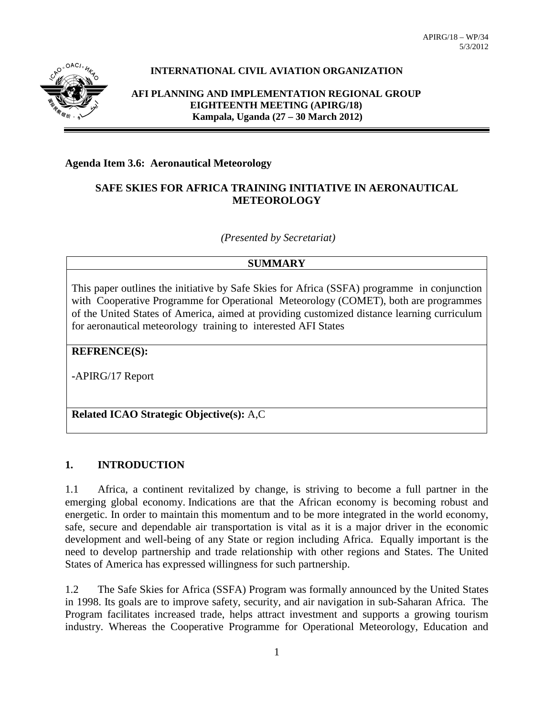

# **INTERNATIONAL CIVIL AVIATION ORGANIZATION**

**AFI PLANNING AND IMPLEMENTATION REGIONAL GROUP EIGHTEENTH MEETING (APIRG/18) Kampala, Uganda (27 – 30 March 2012)**

#### **Agenda Item 3.6: Aeronautical Meteorology**

### **SAFE SKIES FOR AFRICA TRAINING INITIATIVE IN AERONAUTICAL METEOROLOGY**

*(Presented by Secretariat)*

#### **SUMMARY**

This paper outlines the initiative by Safe Skies for Africa (SSFA) programme in conjunction with Cooperative Programme for Operational Meteorology (COMET), both are programmes of the United States of America, aimed at providing customized distance learning curriculum for aeronautical meteorology training to interested AFI States

#### **REFRENCE(S):**

**-**APIRG/17 Report

# **Related ICAO Strategic Objective(s):** A,C

### **1. INTRODUCTION**

1.1 Africa, a continent revitalized by change, is striving to become a full partner in the emerging global economy. Indications are that the African economy is becoming robust and energetic. In order to maintain this momentum and to be more integrated in the world economy, safe, secure and dependable air transportation is vital as it is a major driver in the economic development and well-being of any State or region including Africa. Equally important is the need to develop partnership and trade relationship with other regions and States. The United States of America has expressed willingness for such partnership.

1.2 The Safe Skies for Africa (SSFA) Program was formally announced by the United States in 1998. Its goals are to improve safety, security, and air navigation in sub-Saharan Africa. The Program facilitates increased trade, helps attract investment and supports a growing tourism industry. Whereas the Cooperative Programme for Operational Meteorology, Education and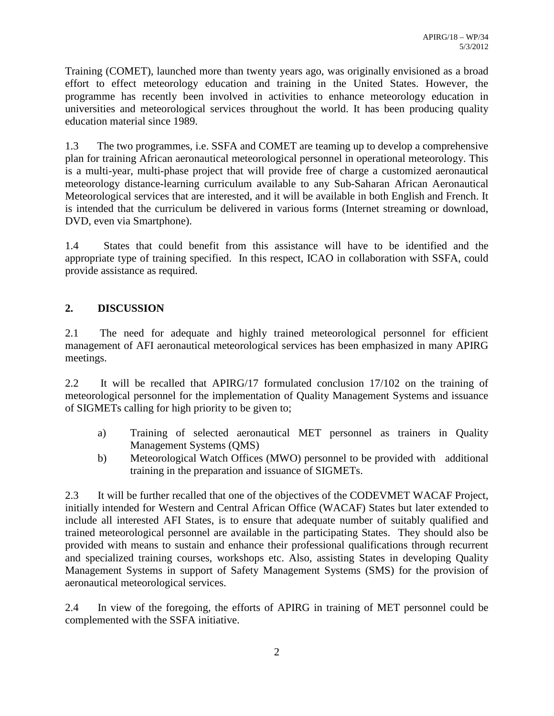Training (COMET), launched more than twenty years ago, was originally envisioned as a broad effort to effect meteorology education and training in the United States. However, the programme has recently been involved in activities to enhance meteorology education in universities and meteorological services throughout the world. It has been producing quality education material since 1989.

1.3 The two programmes, i.e. SSFA and COMET are teaming up to develop a comprehensive plan for training African aeronautical meteorological personnel in operational meteorology. This is a multi-year, multi-phase project that will provide free of charge a customized aeronautical meteorology distance-learning curriculum available to any Sub-Saharan African Aeronautical Meteorological services that are interested, and it will be available in both English and French. It is intended that the curriculum be delivered in various forms (Internet streaming or download, DVD, even via Smartphone).

1.4 States that could benefit from this assistance will have to be identified and the appropriate type of training specified. In this respect, ICAO in collaboration with SSFA, could provide assistance as required.

# **2. DISCUSSION**

2.1 The need for adequate and highly trained meteorological personnel for efficient management of AFI aeronautical meteorological services has been emphasized in many APIRG meetings.

2.2 It will be recalled that APIRG/17 formulated conclusion 17/102 on the training of meteorological personnel for the implementation of Quality Management Systems and issuance of SIGMETs calling for high priority to be given to;

- a) Training of selected aeronautical MET personnel as trainers in Quality Management Systems (QMS)
- b) Meteorological Watch Offices (MWO) personnel to be provided with additional training in the preparation and issuance of SIGMETs.

2.3 It will be further recalled that one of the objectives of the CODEVMET WACAF Project, initially intended for Western and Central African Office (WACAF) States but later extended to include all interested AFI States, is to ensure that adequate number of suitably qualified and trained meteorological personnel are available in the participating States. They should also be provided with means to sustain and enhance their professional qualifications through recurrent and specialized training courses, workshops etc. Also, assisting States in developing Quality Management Systems in support of Safety Management Systems (SMS) for the provision of aeronautical meteorological services.

2.4 In view of the foregoing, the efforts of APIRG in training of MET personnel could be complemented with the SSFA initiative.